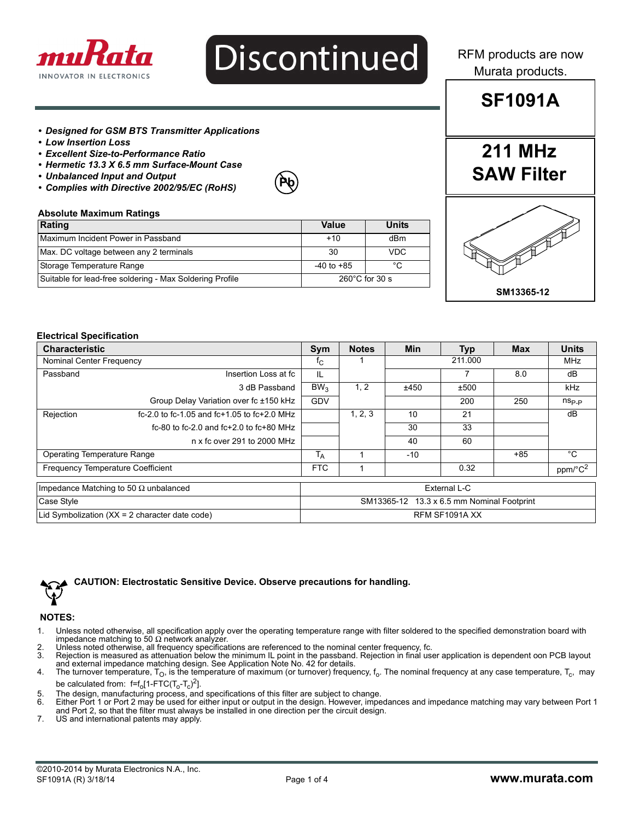

# **Discontinued**

**Pb**

RFM products are now Murata products.

#### *• Designed for GSM BTS Transmitter Applications*

- *Low Insertion Loss*
- *Excellent Size-to-Performance Ratio*
- *Hermetic 13.3 X 6.5 mm Surface-Mount Case*
- *Unbalanced Input and Output*
- *Complies with Directive 2002/95/EC (RoHS)*

#### **Absolute Maximum Ratings**

| Rating                                                   | Value          | <b>Units</b>             |
|----------------------------------------------------------|----------------|--------------------------|
| Maximum Incident Power in Passband                       | $+10$          | dBm                      |
| Max. DC voltage between any 2 terminals                  | 30             | <b>VDC</b>               |
| Storage Temperature Range                                | $-40$ to $+85$ | °C                       |
| Suitable for lead-free soldering - Max Soldering Profile |                | $260^{\circ}$ C for 30 s |

# **SF1091A**

**211 MHz**

**SAW Filter**

# **SM13365-12**

#### **Electrical Specification**

| <b>Characteristic</b>                            |                                              |                                                      | <b>Notes</b> | <b>Min</b> | Typ                 | <b>Max</b> | <b>Units</b>   |
|--------------------------------------------------|----------------------------------------------|------------------------------------------------------|--------------|------------|---------------------|------------|----------------|
| Nominal Center Frequency                         |                                              | ${}^{\intercal}$ C                                   |              |            | 211.000             |            | MHz            |
| Passband                                         | Insertion Loss at fc                         | IL                                                   |              |            |                     | 8.0        | dB             |
|                                                  | 3 dB Passband                                | BW <sub>3</sub>                                      | 1, 2         | ±450       | ±500                |            | <b>kHz</b>     |
|                                                  | Group Delay Variation over fc ±150 kHz       | <b>GDV</b>                                           |              |            | 200                 | 250        | $n_{\rm Sp,p}$ |
| Rejection                                        | fc-2.0 to fc-1.05 and fc+1.05 to fc+2.0 MHz  |                                                      | 1, 2, 3      | 10         | 21                  |            | dB             |
|                                                  | fc-80 to fc-2.0 and fc+2.0 to fc+80 MHz      |                                                      |              | 30         | 33                  |            |                |
|                                                  | n x fc over 291 to 2000 MHz                  |                                                      |              | 40         | 60                  |            |                |
| Operating Temperature Range                      |                                              | $\overline{\mathsf{T}}_\mathsf{A}$<br>$+85$<br>$-10$ |              |            | °C                  |            |                |
| <b>Frequency Temperature Coefficient</b>         |                                              | <b>FTC</b><br>0.32                                   |              |            | ppm/°C <sup>2</sup> |            |                |
|                                                  | Impedance Matching to 50 $\Omega$ unbalanced | External L-C                                         |              |            |                     |            |                |
| Case Style                                       |                                              | SM13365-12 13.3 x 6.5 mm Nominal Footprint           |              |            |                     |            |                |
| Lid Symbolization $(XX = 2$ character date code) |                                              | RFM SF1091A XX                                       |              |            |                     |            |                |



#### **CAUTION: Electrostatic Sensitive Device. Observe precautions for handling.**

#### **NOTES:**

- 1. Unless noted otherwise, all specification apply over the operating temperature range with filter soldered to the specified demonstration board with impedance matching to 50  $\Omega$  network analyzer.
- 2. Unless noted otherwise, all frequency specifications are referenced to the nominal center frequency, fc.<br>3. Rejection is measured as attenuation below the minimum IL point in the passband. Rejection in final us
- Rejection is measured as attenuation below the minimum IL point in the passband. Rejection in final user application is dependent oon PCB layout
- and external impedance matching design. See Application Note No. 42 for details.<br>4. The turnover temperature, T<sub>O</sub>, is the temperature of maximum (or turnover) frequency, f<sub>o</sub>. The nominal frequency at any case temperatur be calculated from:  $f=f_0[1-\text{FTC}(T_o-T_c)^2]$ .
- 
- 5. The design, manufacturing process, and specifications of this filter are subject to change.<br>6. Either Port 1 or Port 2 may be used for either input or output in the design. However, imper 6. Either Port 1 or Port 2 may be used for either input or output in the design. However, impedances and impedance matching may vary between Port 1 and Port 2, so that the filter must always be installed in one direction per the circuit design.
- 7. US and international patents may apply.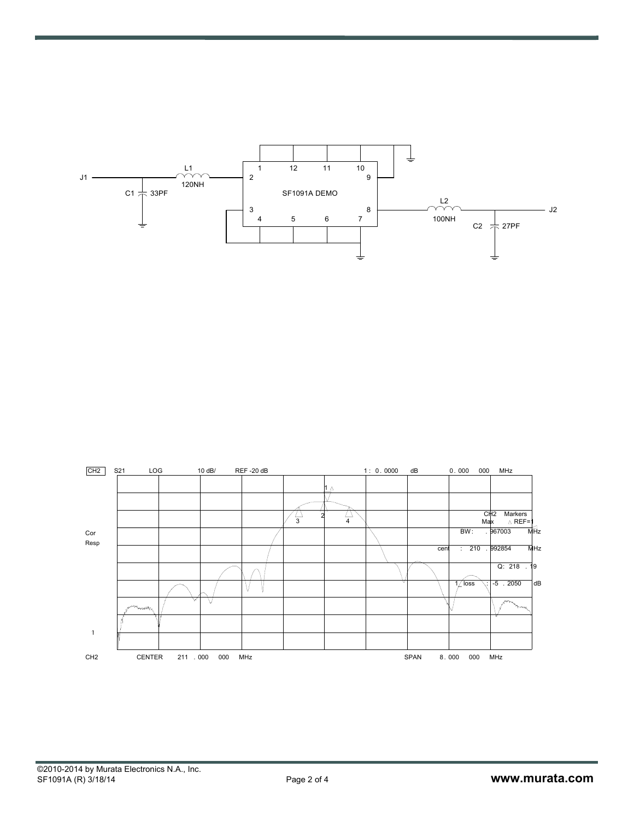

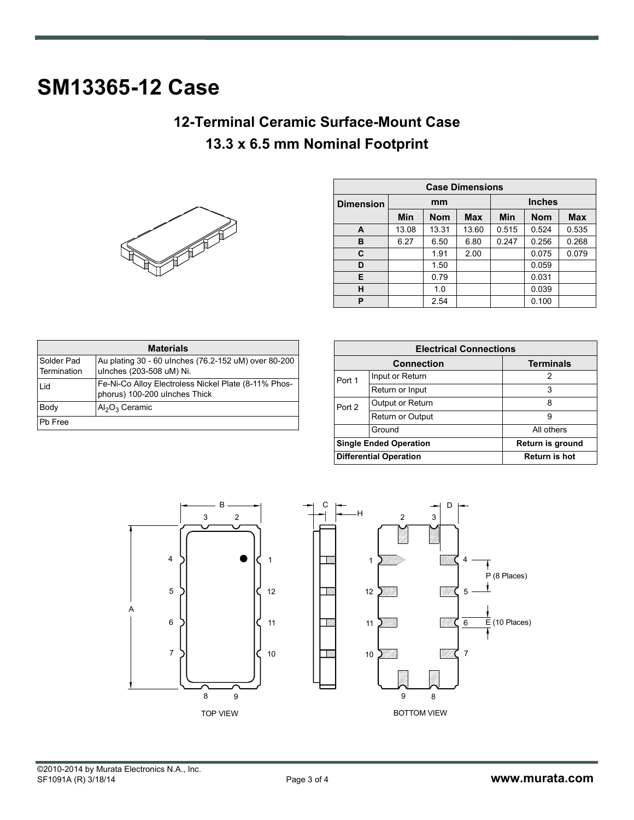# **SM13365-12 Case**

### **12-Terminal Ceramic Surface-Mount Case 13.3 x 6.5 mm Nominal Footprint**



| <b>Case Dimensions</b> |       |            |               |            |            |            |
|------------------------|-------|------------|---------------|------------|------------|------------|
| <b>Dimension</b>       | mm    |            | <b>Inches</b> |            |            |            |
|                        | Min   | <b>Nom</b> | <b>Max</b>    | <b>Min</b> | <b>Nom</b> | <b>Max</b> |
| A                      | 13.08 | 13.31      | 13.60         | 0.515      | 0.524      | 0.535      |
| в                      | 6.27  | 6.50       | 6.80          | 0.247      | 0.256      | 0.268      |
| C                      |       | 1.91       | 2.00          |            | 0.075      | 0.079      |
| D                      |       | 1.50       |               |            | 0.059      |            |
| Е                      |       | 0.79       |               |            | 0.031      |            |
| н                      |       | 1.0        |               |            | 0.039      |            |
| P                      |       | 2.54       |               |            | 0.100      |            |

| <b>Materials</b>          |                                                                                       |  |  |  |
|---------------------------|---------------------------------------------------------------------------------------|--|--|--|
| Solder Pad<br>Termination | Au plating 30 - 60 ulnches (76.2-152 uM) over 80-200<br>ulnches (203-508 uM) Ni.      |  |  |  |
| Lid                       | Fe-Ni-Co Alloy Electroless Nickel Plate (8-11% Phos-<br>phorus) 100-200 ulnches Thick |  |  |  |
| Body                      | $Al_2O_3$ Ceramic                                                                     |  |  |  |
| Pb Free                   |                                                                                       |  |  |  |

| <b>Electrical Connections</b> |                               |                      |  |  |
|-------------------------------|-------------------------------|----------------------|--|--|
| <b>Connection</b>             |                               | <b>Terminals</b>     |  |  |
| Port 1                        | Input or Return               | 2                    |  |  |
|                               | Return or Input               | 3                    |  |  |
| Port 2                        | Output or Return              | 8                    |  |  |
|                               | <b>Return or Output</b>       | 9                    |  |  |
|                               | Ground                        | All others           |  |  |
| <b>Single Ended Operation</b> |                               | Return is ground     |  |  |
|                               | <b>Differential Operation</b> | <b>Return is hot</b> |  |  |



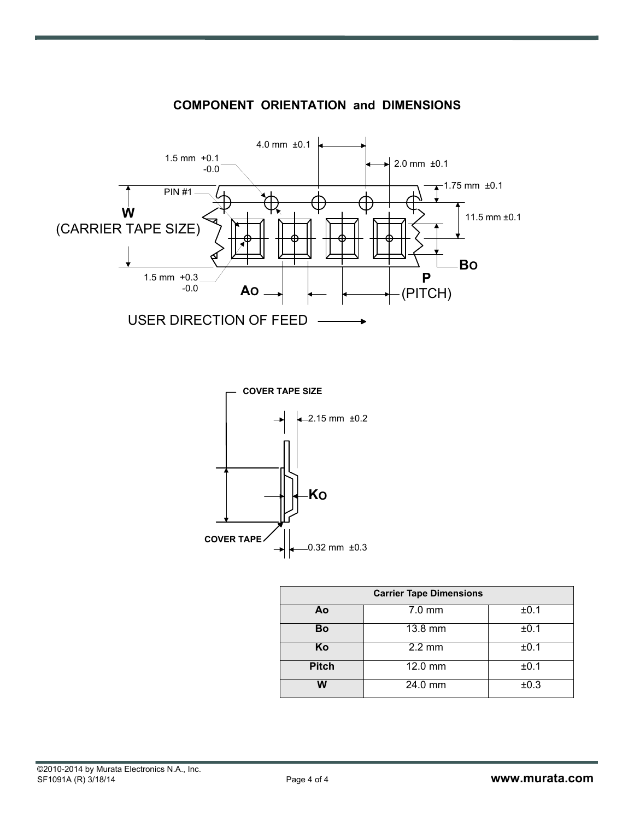

#### **COMPONENT ORIENTATION and DIMENSIONS**



| <b>Carrier Tape Dimensions</b> |                      |      |  |  |
|--------------------------------|----------------------|------|--|--|
| Ao                             | $7.0 \text{ mm}$     | ±0.1 |  |  |
| <b>Bo</b>                      | 13.8 mm              | ±0.1 |  |  |
| Ko                             | $2.2 \text{ mm}$     | ±0.1 |  |  |
| <b>Pitch</b>                   | 12.0 mm              | ±0.1 |  |  |
| W                              | $\overline{24.0}$ mm | ±0.3 |  |  |